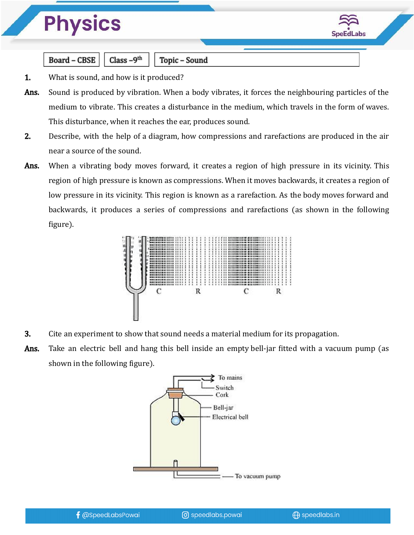

Class  $-9<sup>th</sup>$ **Board - CBSE** 

Topic - Sound

- 1. What is sound, and how is it produced?
- Ans. Sound is produced by vibration. When a body vibrates, it forces the neighbouring particles of the medium to vibrate. This creates a disturbance in the medium, which travels in the form of waves. This disturbance, when it reaches the ear, produces sound.
- 2. Describe, with the help of a diagram, how compressions and rarefactions are produced in the air near a source of the sound.
- Ans. When a vibrating body moves forward, it creates a region of high pressure in its vicinity. This region of high pressure is known as compressions. When it moves backwards, it creates a region of low pressure in its vicinity. This region is known as a rarefaction. As the body moves forward and backwards, it produces a series of compressions and rarefactions (as shown in the following figure).



- 3. Cite an experiment to show that sound needs a material medium for its propagation.
- Ans. Take an electric bell and hang this bell inside an empty bell-jar fitted with a vacuum pump (as shown in the following figure).

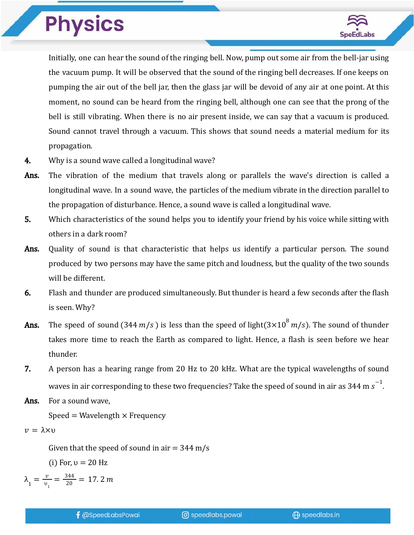

Initially, one can hear the sound of the ringing bell. Now, pump out some air from the bell-jar using the vacuum pump. It will be observed that the sound of the ringing bell decreases. If one keeps on pumping the air out of the bell jar, then the glass jar will be devoid of any air at one point. At this moment, no sound can be heard from the ringing bell, although one can see that the prong of the bell is still vibrating. When there is no air present inside, we can say that a vacuum is produced. Sound cannot travel through a vacuum. This shows that sound needs a material medium for its propagation.

- 4. Why is a sound wave called a longitudinal wave?
- Ans. The vibration of the medium that travels along or parallels the wave's direction is called a longitudinal wave. In a sound wave, the particles of the medium vibrate in the direction parallel to the propagation of disturbance. Hence, a sound wave is called a longitudinal wave.
- 5. Which characteristics of the sound helps you to identify your friend by his voice while sitting with others in a dark room?
- Ans. Quality of sound is that characteristic that helps us identify a particular person. The sound produced by two persons may have the same pitch and loudness, but the quality of the two sounds will be different.
- 6. Flash and thunder are produced simultaneously. But thunder is heard a few seconds after the flash is seen. Why?
- **Ans.** The speed of sound (344 m/s) is less than the speed of light(3×10<sup>8</sup> m/s). The sound of thunder takes more time to reach the Earth as compared to light. Hence, a flash is seen before we hear thunder.
- 7. A person has a hearing range from 20 Hz to 20 kHz. What are the typical wavelengths of sound waves in air corresponding to these two frequencies? Take the speed of sound in air as 344 m  $\rm s^{-1}$ .
- Ans. For a sound wave.

Speed = Wavelength  $\times$  Frequency

$$
v=\lambda\times v
$$

Given that the speed of sound in air  $=$  344 m/s

(i) For,  $v = 20$  Hz

$$
\lambda_1 = \frac{v}{v_1} = \frac{344}{20} = 17.2 \, m
$$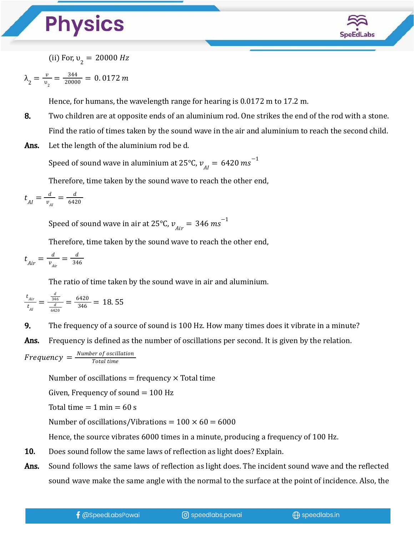

(ii) For,  $v_2 = 20000$  Hz

$$
\lambda_2 = \frac{v}{v_2} = \frac{344}{20000} = 0.0172 \, m
$$

Hence, for humans, the wavelength range for hearing is 0.0172 m to 17.2 m.

- 8. Two children are at opposite ends of an aluminium rod. One strikes the end of the rod with a stone. Find the ratio of times taken by the sound wave in the air and aluminium to reach the second child.
- Ans. Let the length of the aluminium rod be d.

Speed of sound wave in aluminium at 25°C,  $v_{_{AI}} = 6420 \, m s^{-1}$ 

Therefore, time taken by the sound wave to reach the other end,

$$
t_{AI} = \frac{d}{v_{AI}} = \frac{d}{6420}
$$

Speed of sound wave in air at 25°C,  $v_{Air}^{} = 346 \: ms^{-1}$ 

Therefore, time taken by the sound wave to reach the other end,

$$
t_{Air} = \frac{d}{v_{Air}} = \frac{d}{346}
$$

The ratio of time taken by the sound wave in air and aluminium.

$$
\frac{t_{Air}}{t_{Al}} = \frac{\frac{d}{36}}{\frac{d}{6420}} = \frac{6420}{346} = 18.55
$$

9. The frequency of a source of sound is 100 Hz. How many times does it vibrate in a minute?

Ans. Frequency is defined as the number of oscillations per second. It is given by the relation.

$$
Frequency = \frac{Number\ of\ oscillation}{Total\ time}
$$

Number of oscillations  $=$  frequency  $\times$  Total time

Given, Frequency of sound  $= 100$  Hz

Total time  $= 1$  min  $= 60$  s

Number of oscillations/Vibrations =  $100 \times 60 = 6000$ 

Hence, the source vibrates 6000 times in a minute, producing a frequency of 100 Hz.

- 10. Does sound follow the same laws of reflection as light does? Explain.
- Ans. Sound follows the same laws of reflection as light does. The incident sound wave and the reflected sound wave make the same angle with the normal to the surface at the point of incidence. Also, the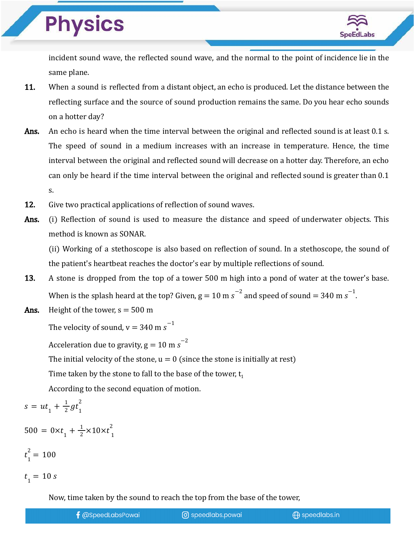

incident sound wave, the reflected sound wave, and the normal to the point of incidence lie in the same plane.

- 11. When a sound is reflected from a distant object, an echo is produced. Let the distance between the reflecting surface and the source of sound production remains the same. Do you hear echo sounds on a hotter day?
- Ans. An echo is heard when the time interval between the original and reflected sound is at least 0.1 s. The speed of sound in a medium increases with an increase in temperature. Hence, the time interval between the original and reflected sound will decrease on a hotter day. Therefore, an echo can only be heard if the time interval between the original and reflected sound is greater than 0.1 s.
- 12. Give two practical applications of reflection of sound waves.
- Ans. (i) Reflection of sound is used to measure the distance and speed of underwater objects. This method is known as SONAR.

(ii) Working of a stethoscope is also based on reflection of sound. In a stethoscope, the sound of the patient's heartbeat reaches the doctor's ear by multiple reflections of sound.

- 13. A stone is dropped from the top of a tower 500 m high into a pond of water at the tower's base. When is the splash heard at the top? Given, g = 10 m s $^{-2}$  and speed of sound = 340 m s $^{-1}$ .
- Ans. Height of the tower,  $s = 500$  m

The velocity of sound, v  $= 340$  m  $\text{s}^{-1}$ 

Acceleration due to gravity, g = 10 m  $\rm s^{-2}$ 

The initial velocity of the stone,  $u = 0$  (since the stone is initially at rest)

Time taken by the stone to fall to the base of the tower,  $t_1$ 

According to the second equation of motion.

$$
s = ut_1 + \frac{1}{2}gt_1^2
$$

 $500 = 0 \times t_1 + \frac{1}{2} \times 10 \times t_1^2$ 2

$$
t_1^2 = 100
$$
  

$$
t_1 = 10 s
$$

Now, time taken by the sound to reach the top from the base of the tower,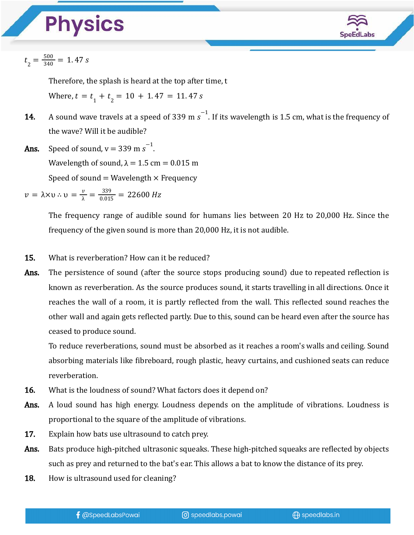

$$
t_{2}=\frac{500}{340}=1.47\;s
$$

Therefore, the splash is heard at the top after time, t Where,  $t = t_1 + t_2 = 10 + 1.47 = 11.47 s$ 

- **14.** A sound wave travels at a speed of 339 m s<sup>-1</sup>. If its wavelength is 1.5 cm, what is the frequency of the wave? Will it be audible?
- **Ans.** Speed of sound,  $v = 339$  m  $s^{-1}$ . Wavelength of sound,  $\lambda = 1.5$  cm = 0.015 m

Speed of sound  $=$  Wavelength  $\times$  Frequency

 $v = \lambda \times v$  :  $v = \frac{v}{\lambda} = \frac{339}{0.015} = 22600 \text{ Hz}$ 

The frequency range of audible sound for humans lies between 20 Hz to 20,000 Hz. Since the frequency of the given sound is more than 20,000 Hz, it is not audible.

- 15. What is reverberation? How can it be reduced?
- **Ans.** The persistence of sound (after the source stops producing sound) due to repeated reflection is known as reverberation. As the source produces sound, it starts travelling in all directions. Once it reaches the wall of a room, it is partly reflected from the wall. This reflected sound reaches the other wall and again gets reflected partly. Due to this, sound can be heard even after the source has ceased to produce sound.

To reduce reverberations, sound must be absorbed as it reaches a room's walls and ceiling. Sound absorbing materials like fibreboard, rough plastic, heavy curtains, and cushioned seats can reduce reverberation.

- 16. What is the loudness of sound? What factors does it depend on?
- Ans. A loud sound has high energy. Loudness depends on the amplitude of vibrations. Loudness is proportional to the square of the amplitude of vibrations.
- 17. Explain how bats use ultrasound to catch prey.
- Ans. Bats produce high-pitched ultrasonic squeaks. These high-pitched squeaks are reflected by objects such as prey and returned to the bat's ear. This allows a bat to know the distance of its prey.
- **18.** How is ultrasound used for cleaning?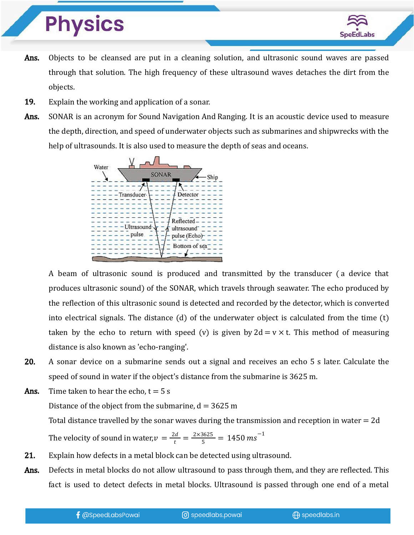

- Ans. Objects to be cleansed are put in a cleaning solution, and ultrasonic sound waves are passed through that solution. The high frequency of these ultrasound waves detaches the dirt from the objects.
- **19.** Explain the working and application of a sonar.
- Ans. SONAR is an acronym for Sound Navigation And Ranging. It is an acoustic device used to measure the depth, direction, and speed of underwater objects such as submarines and shipwrecks with the help of ultrasounds. It is also used to measure the depth of seas and oceans.



A beam of ultrasonic sound is produced and transmitted by the transducer ( a device that produces ultrasonic sound) of the SONAR, which travels through seawater. The echo produced by the reflection of this ultrasonic sound is detected and recorded by the detector, which is converted into electrical signals. The distance (d) of the underwater object is calculated from the time (t) taken by the echo to return with speed (v) is given by  $2d = v \times t$ . This method of measuring distance is also known as 'echo-ranging'.

- 20. A sonar device on a submarine sends out a signal and receives an echo 5 s later. Calculate the speed of sound in water if the object's distance from the submarine is 3625 m.
- **Ans.** Time taken to hear the echo,  $t = 5$  s

Distance of the object from the submarine,  $d = 3625$  m

Total distance travelled by the sonar waves during the transmission and reception in water  $= 2d$ 

The velocity of sound in water, $v = \frac{2d}{t} = \frac{2 \times 3625}{5} = 1450 \text{ ms}^{-1}$ 

- 21. Explain how defects in a metal block can be detected using ultrasound.
- Ans. Defects in metal blocks do not allow ultrasound to pass through them, and they are reflected. This fact is used to detect defects in metal blocks. Ultrasound is passed through one end of a metal